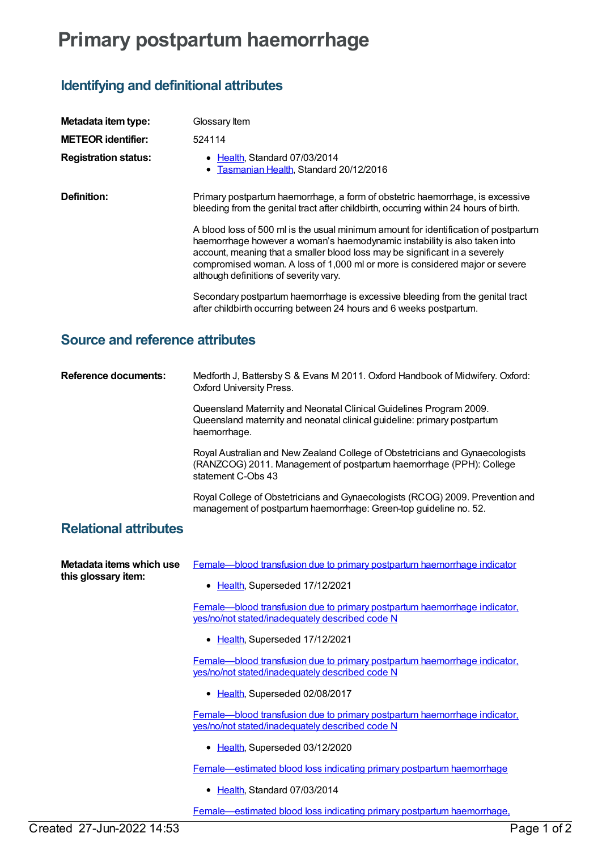## **Primary postpartum haemorrhage**

## **Identifying and definitional attributes**

| Metadata item type:         | Glossary Item                                                                                                                                                                                                                                                                                                                                                            |
|-----------------------------|--------------------------------------------------------------------------------------------------------------------------------------------------------------------------------------------------------------------------------------------------------------------------------------------------------------------------------------------------------------------------|
| <b>METEOR identifier:</b>   | 524114                                                                                                                                                                                                                                                                                                                                                                   |
| <b>Registration status:</b> | • Health, Standard 07/03/2014<br>• Tasmanian Health, Standard 20/12/2016                                                                                                                                                                                                                                                                                                 |
| Definition:                 | Primary postpartum haemorrhage, a form of obstetric haemorrhage, is excessive<br>bleeding from the genital tract after childbirth, occurring within 24 hours of birth.                                                                                                                                                                                                   |
|                             | A blood loss of 500 ml is the usual minimum amount for identification of postpartum<br>haemorrhage however a woman's haemodynamic instability is also taken into<br>account, meaning that a smaller blood loss may be significant in a severely<br>compromised woman. A loss of 1,000 ml or more is considered major or severe<br>although definitions of severity vary. |
|                             | Secondary postpartum haemorrhage is excessive bleeding from the genital tract<br>after childbirth occurring between 24 hours and 6 weeks postpartum.                                                                                                                                                                                                                     |

## **Source and reference attributes**

**Reference documents:** Medforth J, Battersby S & Evans M 2011. Oxford Handbook of Midwifery. Oxford: Oxford University Press.

> Queensland Maternity and Neonatal Clinical Guidelines Program 2009. Queensland maternity and neonatal clinical guideline: primary postpartum haemorrhage.

Royal Australian and New Zealand College of Obstetricians and Gynaecologists (RANZCOG) 2011. Management of postpartum haemorrhage (PPH): College statement C-Obs 43

Royal College of Obstetricians and Gynaecologists (RCOG) 2009. Prevention and management of postpartum haemorrhage: Green-top guideline no. 52.

## **Relational attributes**

| Metadata items which use<br>this glossary item: | Female-blood transfusion due to primary postpartum haemorrhage indicator                                                                   |
|-------------------------------------------------|--------------------------------------------------------------------------------------------------------------------------------------------|
|                                                 | • Health, Superseded 17/12/2021                                                                                                            |
|                                                 | Female—blood transfusion due to primary postpartum haemorrhage indicator.<br>yes/no/not stated/inadequately described code N               |
|                                                 | • Health, Superseded 17/12/2021                                                                                                            |
|                                                 | <u>Female—blood transfusion due to primary postpartum haemorrhage indicator,</u><br><u>yes/no/not stated/inadequately described code N</u> |
|                                                 | • Health, Superseded 02/08/2017                                                                                                            |
|                                                 | Female—blood transfusion due to primary postpartum haemorrhage indicator.<br>yes/no/not stated/inadequately described code N               |
|                                                 | • Health, Superseded 03/12/2020                                                                                                            |
|                                                 | Female—estimated blood loss indicating primary postpartum haemorrhage                                                                      |
|                                                 | Health, Standard 07/03/2014                                                                                                                |

[Female—estimated](https://meteor.aihw.gov.au/content/655567) blood loss indicating primary postpartum haemorrhage,